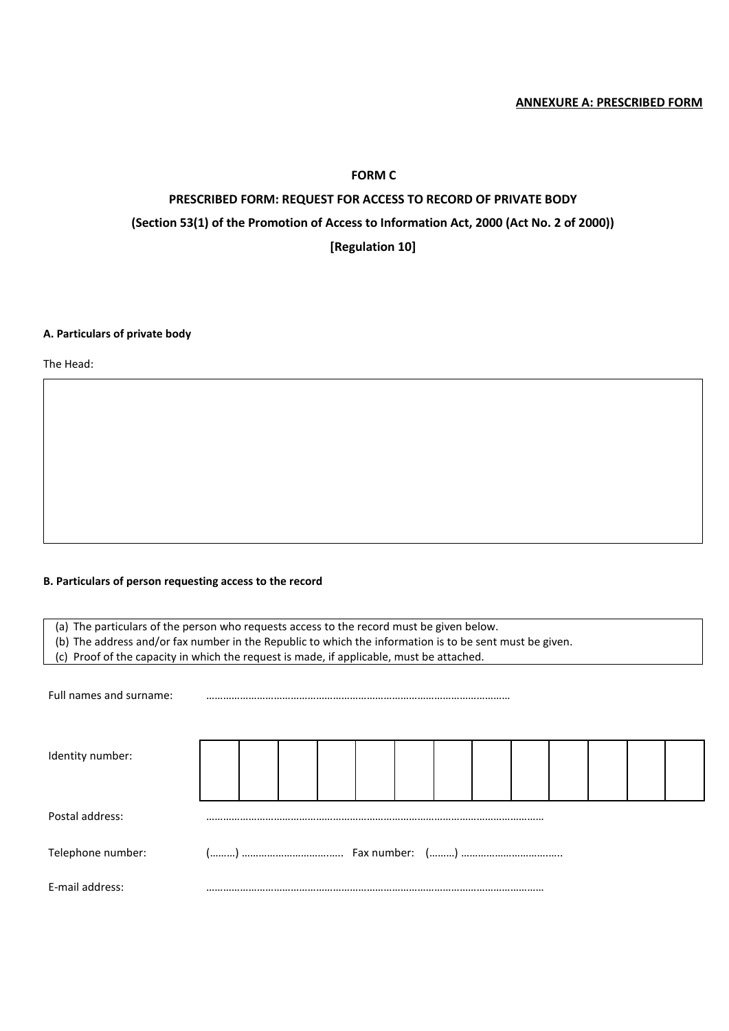# **FORM C**

# **PRESCRIBED FORM: REQUEST FOR ACCESS TO RECORD OF PRIVATE BODY (Section 53(1) of the Promotion of Access to Information Act, 2000 (Act No. 2 of 2000)) [Regulation 10]**

#### **A. Particulars of private body**

The Head:

#### **B. Particulars of person requesting access to the record**

(a) The particulars of the person who requests access to the record must be given below.

(b) The address and/or fax number in the Republic to which the information is to be sent must be given.

(c) Proof of the capacity in which the request is made, if applicable, must be attached.

Full names and surname:

| Identity number:  |  |  |  |  |  |  |  |  |  |  |  |  |  |
|-------------------|--|--|--|--|--|--|--|--|--|--|--|--|--|
| Postal address:   |  |  |  |  |  |  |  |  |  |  |  |  |  |
| Telephone number: |  |  |  |  |  |  |  |  |  |  |  |  |  |
| E-mail address:   |  |  |  |  |  |  |  |  |  |  |  |  |  |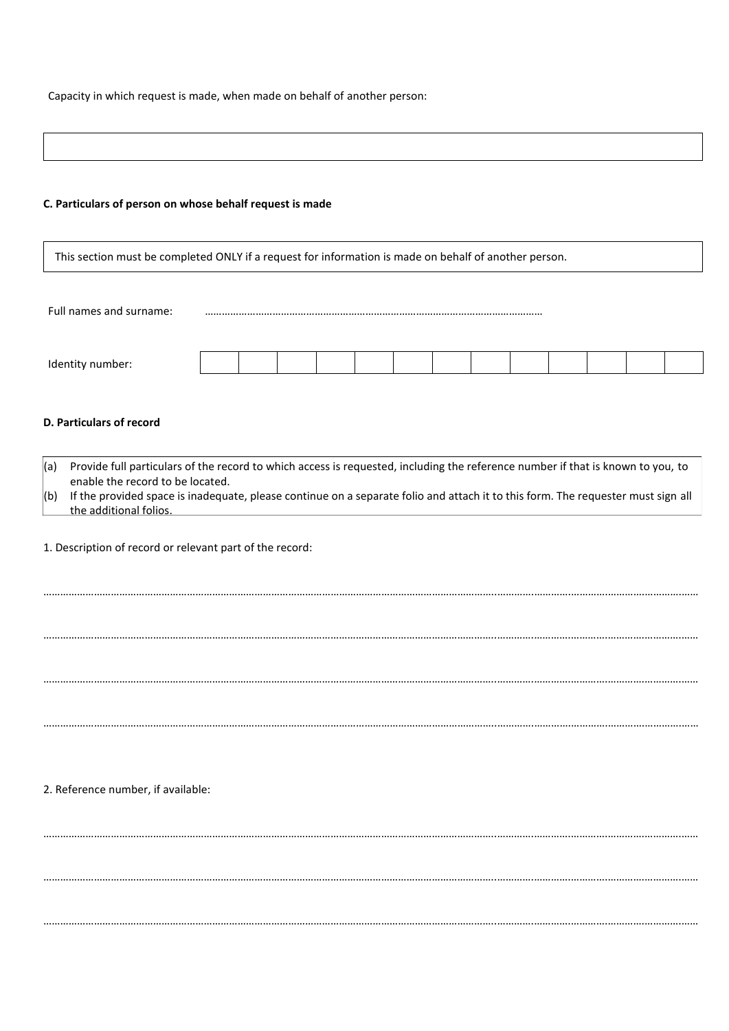Capacity in which request is made, when made on behalf of another person:

#### **C. Particulars of person on whose behalf request is made**

This section must be completed ONLY if a request for information is made on behalf of another person.

Full names and surname:

| Ident<br>$\cdots$ under. $\cdots$ |  |  |  |  |  |  |
|-----------------------------------|--|--|--|--|--|--|

#### **D. Particulars of record**

 $(a)$  Provide full particulars of the record to which access is requested, including the reference number if that is known to you, to enable the record to be located.  $|$ (b) If the provided space is inadequate, please continue on a separate folio and attach it to this form. The requester must sign all the additional folios.

……………………………………………………………………………………………………………………………………………..………….………….………….………….………….……

……………………………………………………………………………………………………………………………………………..………….………….………….………….………….……

……………………………………………………………………………………………………………………………………………..………….………….………….………….………….……

……………………………………………………………………………………………………………………………………………..………….………….………….………….………….……

……………………………………………………………………………………………………………………………………………..………….………….………….………….………….……

……………………………………………………………………………………………………………………………………………..………….………….………….………….………….……

……………………………………………………………………………………………………………………………………………..………….………….………….………….………….……

1. Description of record or relevant part of the record:

#### 2. Reference number, if available: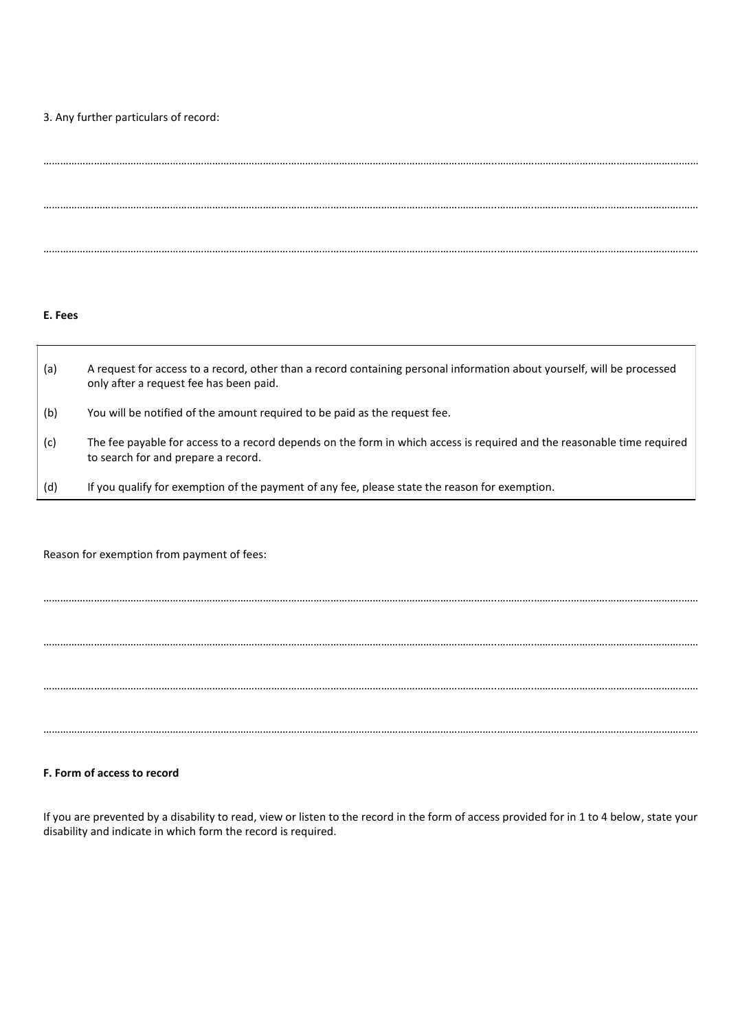#### 3. Any further particulars of record:

# ……………………………………………………………………………………………………………………………………………..………….………….………….………….………….…… ……………………………………………………………………………………………………………………………………………..………….………….………….………….………….…… ……………………………………………………………………………………………………………………………………………..………….………….………….………….………….……

## **E. Fees**

| (a) | A request for access to a record, other than a record containing personal information about yourself, will be processed<br>only after a request fee has been paid. |
|-----|--------------------------------------------------------------------------------------------------------------------------------------------------------------------|
| (b) | You will be notified of the amount required to be paid as the request fee.                                                                                         |
| (c) | The fee payable for access to a record depends on the form in which access is required and the reasonable time required<br>to search for and prepare a record.     |
| (d) | If you qualify for exemption of the payment of any fee, please state the reason for exemption.                                                                     |

Reason for exemption from payment of fees:

……………………………………………………………………………………………………………………………………………..………….………….………….………….………….……

……………………………………………………………………………………………………………………………………………..………….………….………….………….………….……

……………………………………………………………………………………………………………………………………………..………….………….………….………….………….……

……………………………………………………………………………………………………………………………………………..………….………….………….………….………….……

## **F. Form of access to record**

If you are prevented by a disability to read, view or listen to the record in the form of access provided for in 1 to 4 below, state your disability and indicate in which form the record is required.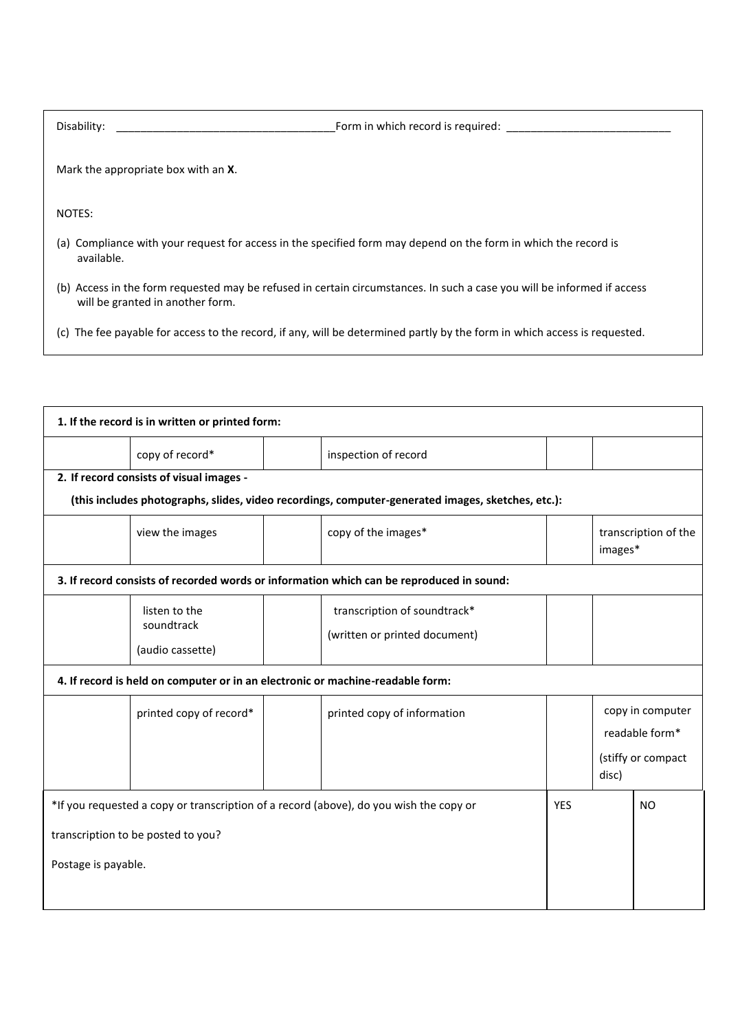| Disability:<br>Form in which record is required:                                                                                                            |
|-------------------------------------------------------------------------------------------------------------------------------------------------------------|
| Mark the appropriate box with an <b>X</b> .                                                                                                                 |
| NOTES:                                                                                                                                                      |
| (a) Compliance with your request for access in the specified form may depend on the form in which the record is<br>available.                               |
| (b) Access in the form requested may be refused in certain circumstances. In such a case you will be informed if access<br>will be granted in another form. |
| The fee payable for access to the record, if any, will be determined partly by the form in which access is requested.<br>(C)                                |

| 1. If the record is in written or printed form:                                                                                                     |                                                                                                                  |                     |                             |                                                                   |  |           |  |  |  |
|-----------------------------------------------------------------------------------------------------------------------------------------------------|------------------------------------------------------------------------------------------------------------------|---------------------|-----------------------------|-------------------------------------------------------------------|--|-----------|--|--|--|
|                                                                                                                                                     | copy of record*                                                                                                  |                     | inspection of record        |                                                                   |  |           |  |  |  |
| 2. If record consists of visual images -                                                                                                            |                                                                                                                  |                     |                             |                                                                   |  |           |  |  |  |
| (this includes photographs, slides, video recordings, computer-generated images, sketches, etc.):                                                   |                                                                                                                  |                     |                             |                                                                   |  |           |  |  |  |
|                                                                                                                                                     | view the images                                                                                                  | copy of the images* |                             | transcription of the<br>images*                                   |  |           |  |  |  |
| 3. If record consists of recorded words or information which can be reproduced in sound:                                                            |                                                                                                                  |                     |                             |                                                                   |  |           |  |  |  |
|                                                                                                                                                     | transcription of soundtrack*<br>listen to the<br>soundtrack<br>(written or printed document)<br>(audio cassette) |                     |                             |                                                                   |  |           |  |  |  |
| 4. If record is held on computer or in an electronic or machine-readable form:                                                                      |                                                                                                                  |                     |                             |                                                                   |  |           |  |  |  |
|                                                                                                                                                     | printed copy of record*                                                                                          |                     | printed copy of information | copy in computer<br>readable form*<br>(stiffy or compact<br>disc) |  |           |  |  |  |
| *If you requested a copy or transcription of a record (above), do you wish the copy or<br>transcription to be posted to you?<br>Postage is payable. |                                                                                                                  |                     |                             |                                                                   |  | <b>NO</b> |  |  |  |
|                                                                                                                                                     |                                                                                                                  |                     |                             |                                                                   |  |           |  |  |  |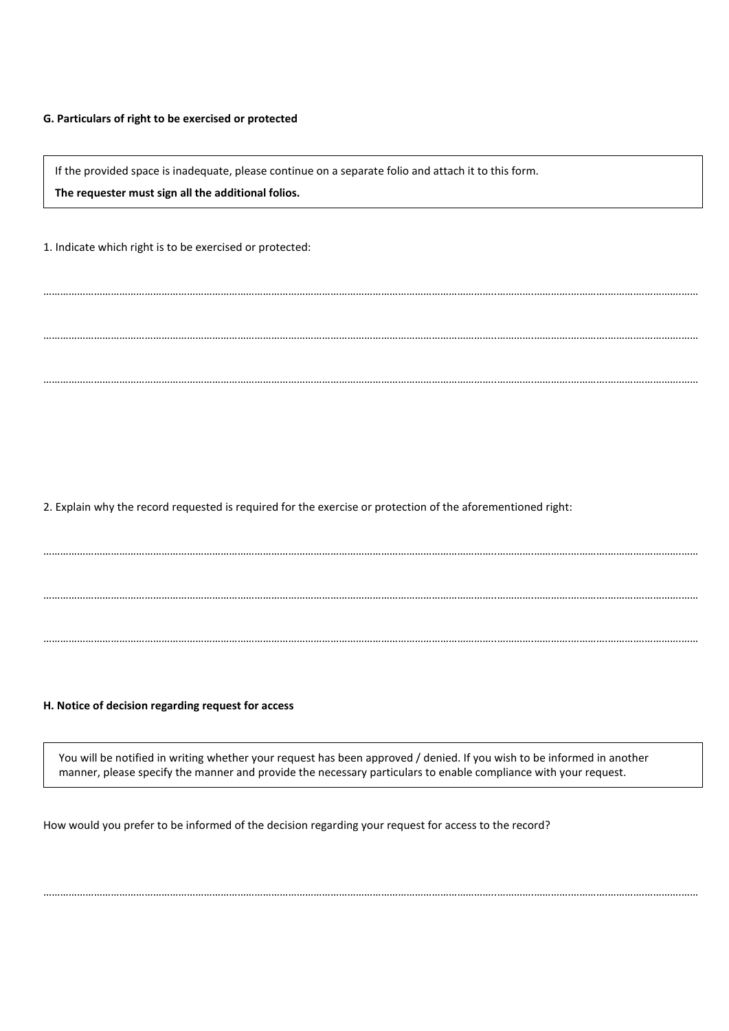#### **G. Particulars of right to be exercised or protected**

If the provided space is inadequate, please continue on a separate folio and attach it to this form.

……………………………………………………………………………………………………………………………………………..………….………….………….………….………….……

……………………………………………………………………………………………………………………………………………..………….………….………….………….………….……

……………………………………………………………………………………………………………………………………………..………….………….………….………….………….……

……………………………………………………………………………………………………………………………………………..………….………….………….………….………….……

……………………………………………………………………………………………………………………………………………..………….………….………….………….………….……

……………………………………………………………………………………………………………………………………………..………….………….………….………….………….……

**The requester must sign all the additional folios.**

1. Indicate which right is to be exercised or protected:

2. Explain why the record requested is required for the exercise or protection of the aforementioned right:

#### **H. Notice of decision regarding request for access**

You will be notified in writing whether your request has been approved / denied. If you wish to be informed in another manner, please specify the manner and provide the necessary particulars to enable compliance with your request.

……………………………………………………………………………………………………………………………………………..………….………….………….………….………….……

How would you prefer to be informed of the decision regarding your request for access to the record?